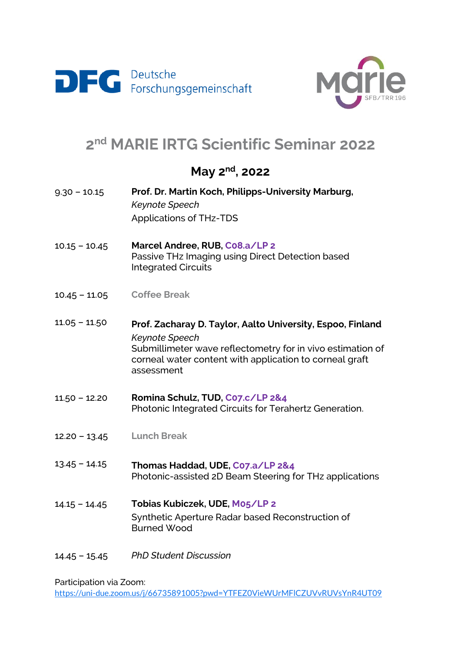



## **2 nd MARIE IRTG Scientific Seminar 2022**

## **May 2 nd, 2022**

- 9.30 10.15 **Prof. Dr. Martin Koch, Philipps-University Marburg,**  *Keynote Speech* Applications of THz-TDS
- 10.15 10.45 **Marcel Andree, RUB, C08.a/LP 2** Passive THz Imaging using Direct Detection based Integrated Circuits
- 10.45 11.05 **Coffee Break**
- 11.05 11.50 **Prof. Zacharay D. Taylor, Aalto University, Espoo, Finland** *Keynote Speech* Submillimeter wave reflectometry for in vivo estimation of corneal water content with application to corneal graft assessment
- 11.50 12.20 **Romina Schulz, TUD, C07.c/LP 2&4** Photonic Integrated Circuits for Terahertz Generation.
- 12.20 13.45 **Lunch Break**
- 13.45 14.15 **Thomas Haddad, UDE, C07.a/LP 2&4** Photonic-assisted 2D Beam Steering for THz applications
- 14.15 14.45 **Tobias Kubiczek, UDE, M05/LP 2** Synthetic Aperture Radar based Reconstruction of Burned Wood
- 14.45 15.45 *PhD Student Discussion*

Participation via Zoom:

<https://uni-due.zoom.us/j/66735891005?pwd=YTFEZ0VieWUrMFlCZUVvRUVsYnR4UT09>